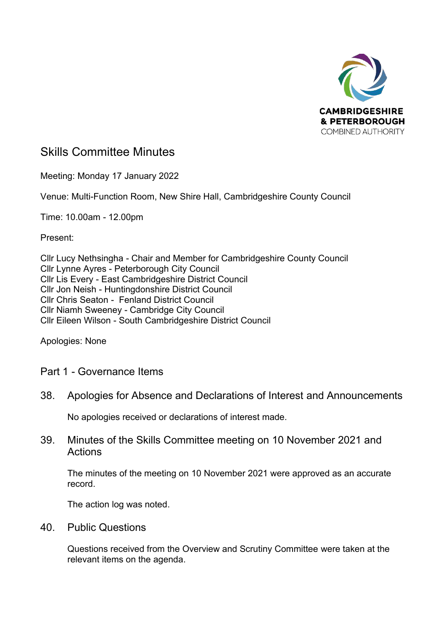

# Skills Committee Minutes

Meeting: Monday 17 January 2022

Venue: Multi-Function Room, New Shire Hall, Cambridgeshire County Council

Time: 10.00am - 12.00pm

Present:

Cllr Lucy Nethsingha - Chair and Member for Cambridgeshire County Council Cllr Lynne Ayres - Peterborough City Council Cllr Lis Every - East Cambridgeshire District Council Cllr Jon Neish - Huntingdonshire District Council Cllr Chris Seaton - Fenland District Council Cllr Niamh Sweeney - Cambridge City Council Cllr Eileen Wilson - South Cambridgeshire District Council

Apologies: None

## Part 1 - Governance Items

## 38. Apologies for Absence and Declarations of Interest and Announcements

No apologies received or declarations of interest made.

39. Minutes of the Skills Committee meeting on 10 November 2021 and Actions

The minutes of the meeting on 10 November 2021 were approved as an accurate record.

The action log was noted.

40. Public Questions

Questions received from the Overview and Scrutiny Committee were taken at the relevant items on the agenda.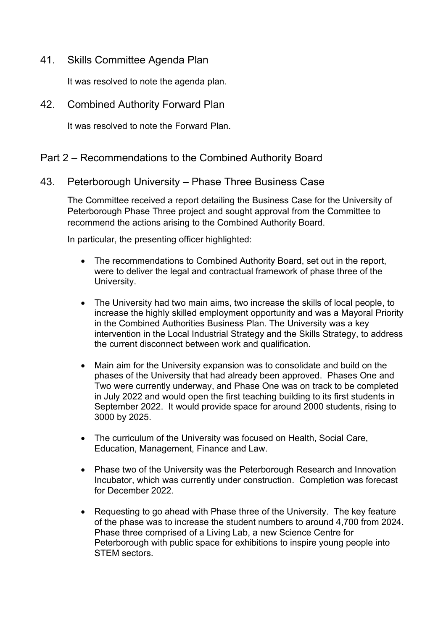41. Skills Committee Agenda Plan

It was resolved to note the agenda plan.

42. Combined Authority Forward Plan

It was resolved to note the Forward Plan.

## Part 2 – Recommendations to the Combined Authority Board

43. Peterborough University – Phase Three Business Case

The Committee received a report detailing the Business Case for the University of Peterborough Phase Three project and sought approval from the Committee to recommend the actions arising to the Combined Authority Board.

In particular, the presenting officer highlighted:

- The recommendations to Combined Authority Board, set out in the report, were to deliver the legal and contractual framework of phase three of the University.
- The University had two main aims, two increase the skills of local people, to increase the highly skilled employment opportunity and was a Mayoral Priority in the Combined Authorities Business Plan. The University was a key intervention in the Local Industrial Strategy and the Skills Strategy, to address the current disconnect between work and qualification.
- Main aim for the University expansion was to consolidate and build on the phases of the University that had already been approved. Phases One and Two were currently underway, and Phase One was on track to be completed in July 2022 and would open the first teaching building to its first students in September 2022. It would provide space for around 2000 students, rising to 3000 by 2025.
- The curriculum of the University was focused on Health, Social Care, Education, Management, Finance and Law.
- Phase two of the University was the Peterborough Research and Innovation Incubator, which was currently under construction. Completion was forecast for December 2022.
- Requesting to go ahead with Phase three of the University. The key feature of the phase was to increase the student numbers to around 4,700 from 2024. Phase three comprised of a Living Lab, a new Science Centre for Peterborough with public space for exhibitions to inspire young people into STEM sectors.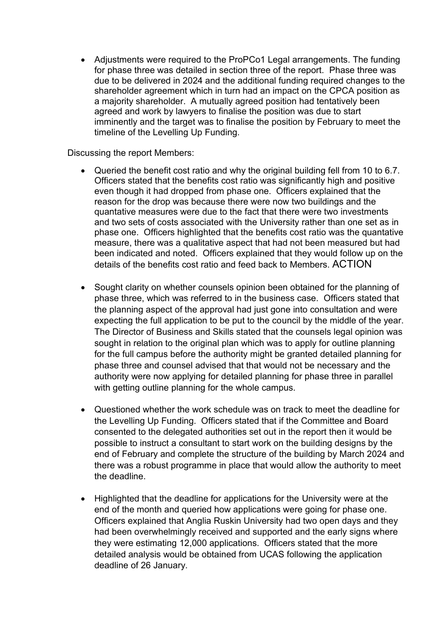• Adjustments were required to the ProPCo1 Legal arrangements. The funding for phase three was detailed in section three of the report. Phase three was due to be delivered in 2024 and the additional funding required changes to the shareholder agreement which in turn had an impact on the CPCA position as a majority shareholder. A mutually agreed position had tentatively been agreed and work by lawyers to finalise the position was due to start imminently and the target was to finalise the position by February to meet the timeline of the Levelling Up Funding.

Discussing the report Members:

- Queried the benefit cost ratio and why the original building fell from 10 to 6.7. Officers stated that the benefits cost ratio was significantly high and positive even though it had dropped from phase one. Officers explained that the reason for the drop was because there were now two buildings and the quantative measures were due to the fact that there were two investments and two sets of costs associated with the University rather than one set as in phase one. Officers highlighted that the benefits cost ratio was the quantative measure, there was a qualitative aspect that had not been measured but had been indicated and noted. Officers explained that they would follow up on the details of the benefits cost ratio and feed back to Members. ACTION
- Sought clarity on whether counsels opinion been obtained for the planning of phase three, which was referred to in the business case. Officers stated that the planning aspect of the approval had just gone into consultation and were expecting the full application to be put to the council by the middle of the year. The Director of Business and Skills stated that the counsels legal opinion was sought in relation to the original plan which was to apply for outline planning for the full campus before the authority might be granted detailed planning for phase three and counsel advised that that would not be necessary and the authority were now applying for detailed planning for phase three in parallel with getting outline planning for the whole campus.
- Questioned whether the work schedule was on track to meet the deadline for the Levelling Up Funding. Officers stated that if the Committee and Board consented to the delegated authorities set out in the report then it would be possible to instruct a consultant to start work on the building designs by the end of February and complete the structure of the building by March 2024 and there was a robust programme in place that would allow the authority to meet the deadline.
- Highlighted that the deadline for applications for the University were at the end of the month and queried how applications were going for phase one. Officers explained that Anglia Ruskin University had two open days and they had been overwhelmingly received and supported and the early signs where they were estimating 12,000 applications. Officers stated that the more detailed analysis would be obtained from UCAS following the application deadline of 26 January.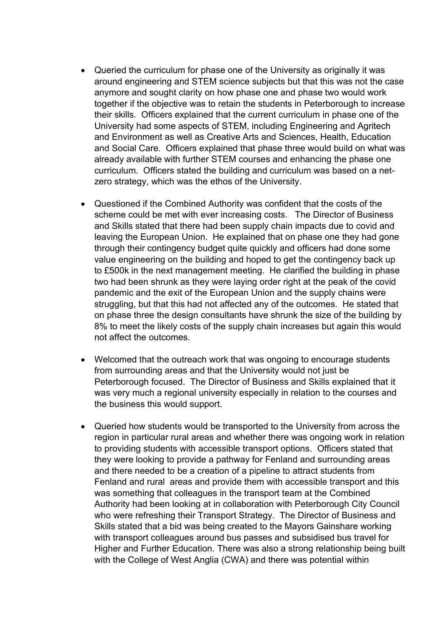- Queried the curriculum for phase one of the University as originally it was around engineering and STEM science subjects but that this was not the case anymore and sought clarity on how phase one and phase two would work together if the objective was to retain the students in Peterborough to increase their skills. Officers explained that the current curriculum in phase one of the University had some aspects of STEM, including Engineering and Agritech and Environment as well as Creative Arts and Sciences, Health, Education and Social Care. Officers explained that phase three would build on what was already available with further STEM courses and enhancing the phase one curriculum. Officers stated the building and curriculum was based on a netzero strategy, which was the ethos of the University.
- Questioned if the Combined Authority was confident that the costs of the scheme could be met with ever increasing costs. The Director of Business and Skills stated that there had been supply chain impacts due to covid and leaving the European Union. He explained that on phase one they had gone through their contingency budget quite quickly and officers had done some value engineering on the building and hoped to get the contingency back up to £500k in the next management meeting. He clarified the building in phase two had been shrunk as they were laying order right at the peak of the covid pandemic and the exit of the European Union and the supply chains were struggling, but that this had not affected any of the outcomes. He stated that on phase three the design consultants have shrunk the size of the building by 8% to meet the likely costs of the supply chain increases but again this would not affect the outcomes.
- Welcomed that the outreach work that was ongoing to encourage students from surrounding areas and that the University would not just be Peterborough focused. The Director of Business and Skills explained that it was very much a regional university especially in relation to the courses and the business this would support.
- Queried how students would be transported to the University from across the region in particular rural areas and whether there was ongoing work in relation to providing students with accessible transport options. Officers stated that they were looking to provide a pathway for Fenland and surrounding areas and there needed to be a creation of a pipeline to attract students from Fenland and rural areas and provide them with accessible transport and this was something that colleagues in the transport team at the Combined Authority had been looking at in collaboration with Peterborough City Council who were refreshing their Transport Strategy. The Director of Business and Skills stated that a bid was being created to the Mayors Gainshare working with transport colleagues around bus passes and subsidised bus travel for Higher and Further Education. There was also a strong relationship being built with the College of West Anglia (CWA) and there was potential within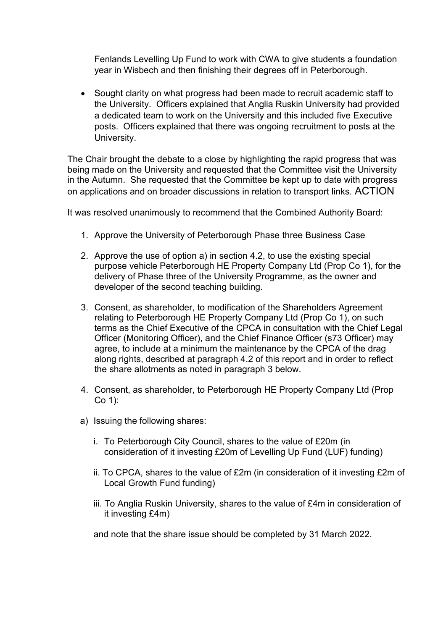Fenlands Levelling Up Fund to work with CWA to give students a foundation year in Wisbech and then finishing their degrees off in Peterborough.

• Sought clarity on what progress had been made to recruit academic staff to the University. Officers explained that Anglia Ruskin University had provided a dedicated team to work on the University and this included five Executive posts. Officers explained that there was ongoing recruitment to posts at the University.

The Chair brought the debate to a close by highlighting the rapid progress that was being made on the University and requested that the Committee visit the University in the Autumn. She requested that the Committee be kept up to date with progress on applications and on broader discussions in relation to transport links. ACTION

It was resolved unanimously to recommend that the Combined Authority Board:

- 1. Approve the University of Peterborough Phase three Business Case
- 2. Approve the use of option a) in section 4.2, to use the existing special purpose vehicle Peterborough HE Property Company Ltd (Prop Co 1), for the delivery of Phase three of the University Programme, as the owner and developer of the second teaching building.
- 3. Consent, as shareholder, to modification of the Shareholders Agreement relating to Peterborough HE Property Company Ltd (Prop Co 1), on such terms as the Chief Executive of the CPCA in consultation with the Chief Legal Officer (Monitoring Officer), and the Chief Finance Officer (s73 Officer) may agree, to include at a minimum the maintenance by the CPCA of the drag along rights, described at paragraph 4.2 of this report and in order to reflect the share allotments as noted in paragraph 3 below.
- 4. Consent, as shareholder, to Peterborough HE Property Company Ltd (Prop Co 1):
- a) Issuing the following shares:
	- i. To Peterborough City Council, shares to the value of £20m (in consideration of it investing £20m of Levelling Up Fund (LUF) funding)
	- ii. To CPCA, shares to the value of £2m (in consideration of it investing £2m of Local Growth Fund funding)
	- iii. To Anglia Ruskin University, shares to the value of £4m in consideration of it investing £4m)

and note that the share issue should be completed by 31 March 2022.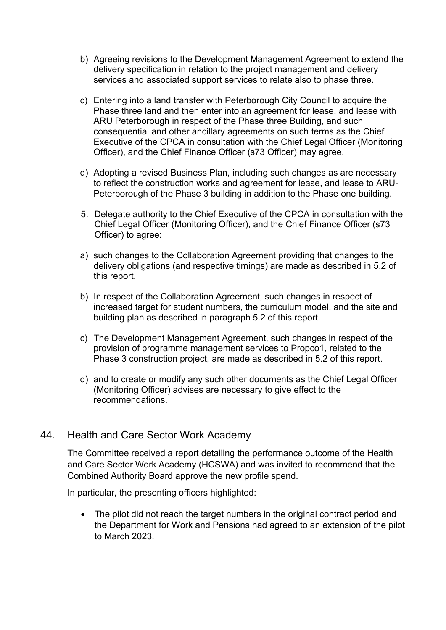- b) Agreeing revisions to the Development Management Agreement to extend the delivery specification in relation to the project management and delivery services and associated support services to relate also to phase three.
- c) Entering into a land transfer with Peterborough City Council to acquire the Phase three land and then enter into an agreement for lease, and lease with ARU Peterborough in respect of the Phase three Building, and such consequential and other ancillary agreements on such terms as the Chief Executive of the CPCA in consultation with the Chief Legal Officer (Monitoring Officer), and the Chief Finance Officer (s73 Officer) may agree.
- d) Adopting a revised Business Plan, including such changes as are necessary to reflect the construction works and agreement for lease, and lease to ARU-Peterborough of the Phase 3 building in addition to the Phase one building.
- 5. Delegate authority to the Chief Executive of the CPCA in consultation with the Chief Legal Officer (Monitoring Officer), and the Chief Finance Officer (s73 Officer) to agree:
- a) such changes to the Collaboration Agreement providing that changes to the delivery obligations (and respective timings) are made as described in 5.2 of this report.
- b) In respect of the Collaboration Agreement, such changes in respect of increased target for student numbers, the curriculum model, and the site and building plan as described in paragraph 5.2 of this report.
- c) The Development Management Agreement, such changes in respect of the provision of programme management services to Propco1, related to the Phase 3 construction project, are made as described in 5.2 of this report.
- d) and to create or modify any such other documents as the Chief Legal Officer (Monitoring Officer) advises are necessary to give effect to the recommendations.

## 44. Health and Care Sector Work Academy

The Committee received a report detailing the performance outcome of the Health and Care Sector Work Academy (HCSWA) and was invited to recommend that the Combined Authority Board approve the new profile spend.

In particular, the presenting officers highlighted:

• The pilot did not reach the target numbers in the original contract period and the Department for Work and Pensions had agreed to an extension of the pilot to March 2023.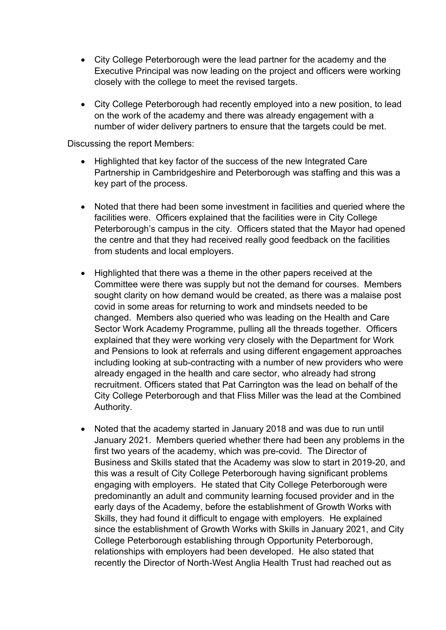- City College Peterborough were the lead partner for the academy and the Executive Principal was now leading on the project and officers were working closely with the college to meet the revised targets.
- City College Peterborough had recently employed into a new position, to lead on the work of the academy and there was already engagement with a number of wider delivery partners to ensure that the targets could be met.

Discussing the report Members:

- Highlighted that key factor of the success of the new Integrated Care Partnership in Cambridgeshire and Peterborough was staffing and this was a key part of the process.
- Noted that there had been some investment in facilities and queried where the facilities were. Officers explained that the facilities were in City College Peterborough's campus in the city. Officers stated that the Mayor had opened the centre and that they had received really good feedback on the facilities from students and local employers.
- Highlighted that there was a theme in the other papers received at the Committee were there was supply but not the demand for courses. Members sought clarity on how demand would be created, as there was a malaise post covid in some areas for returning to work and mindsets needed to be changed. Members also queried who was leading on the Health and Care Sector Work Academy Programme, pulling all the threads together. Officers explained that they were working very closely with the Department for Work and Pensions to look at referrals and using different engagement approaches including looking at sub-contracting with a number of new providers who were already engaged in the health and care sector, who already had strong recruitment. Officers stated that Pat Carrington was the lead on behalf of the City College Peterborough and that Fliss Miller was the lead at the Combined Authority.
- Noted that the academy started in January 2018 and was due to run until January 2021. Members queried whether there had been any problems in the first two years of the academy, which was pre-covid. The Director of Business and Skills stated that the Academy was slow to start in 2019-20, and this was a result of City College Peterborough having significant problems engaging with employers. He stated that City College Peterborough were predominantly an adult and community learning focused provider and in the early days of the Academy, before the establishment of Growth Works with Skills, they had found it difficult to engage with employers. He explained since the establishment of Growth Works with Skills in January 2021, and City College Peterborough establishing through Opportunity Peterborough, relationships with employers had been developed. He also stated that recently the Director of North-West Anglia Health Trust had reached out as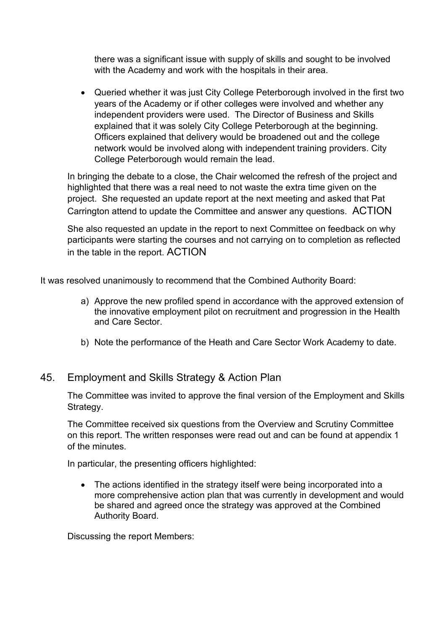there was a significant issue with supply of skills and sought to be involved with the Academy and work with the hospitals in their area.

• Queried whether it was just City College Peterborough involved in the first two years of the Academy or if other colleges were involved and whether any independent providers were used. The Director of Business and Skills explained that it was solely City College Peterborough at the beginning. Officers explained that delivery would be broadened out and the college network would be involved along with independent training providers. City College Peterborough would remain the lead.

In bringing the debate to a close, the Chair welcomed the refresh of the project and highlighted that there was a real need to not waste the extra time given on the project. She requested an update report at the next meeting and asked that Pat Carrington attend to update the Committee and answer any questions. ACTION

She also requested an update in the report to next Committee on feedback on why participants were starting the courses and not carrying on to completion as reflected in the table in the report. ACTION

It was resolved unanimously to recommend that the Combined Authority Board:

- a) Approve the new profiled spend in accordance with the approved extension of the innovative employment pilot on recruitment and progression in the Health and Care Sector.
- b) Note the performance of the Heath and Care Sector Work Academy to date.

#### 45. Employment and Skills Strategy & Action Plan

The Committee was invited to approve the final version of the Employment and Skills Strategy.

The Committee received six questions from the Overview and Scrutiny Committee on this report. The written responses were read out and can be found at appendix 1 of the minutes.

In particular, the presenting officers highlighted:

• The actions identified in the strategy itself were being incorporated into a more comprehensive action plan that was currently in development and would be shared and agreed once the strategy was approved at the Combined Authority Board.

Discussing the report Members: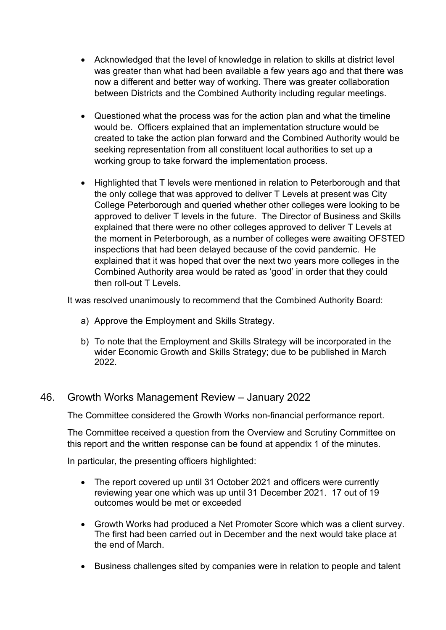- Acknowledged that the level of knowledge in relation to skills at district level was greater than what had been available a few years ago and that there was now a different and better way of working. There was greater collaboration between Districts and the Combined Authority including regular meetings.
- Questioned what the process was for the action plan and what the timeline would be. Officers explained that an implementation structure would be created to take the action plan forward and the Combined Authority would be seeking representation from all constituent local authorities to set up a working group to take forward the implementation process.
- Highlighted that T levels were mentioned in relation to Peterborough and that the only college that was approved to deliver T Levels at present was City College Peterborough and queried whether other colleges were looking to be approved to deliver T levels in the future. The Director of Business and Skills explained that there were no other colleges approved to deliver T Levels at the moment in Peterborough, as a number of colleges were awaiting OFSTED inspections that had been delayed because of the covid pandemic. He explained that it was hoped that over the next two years more colleges in the Combined Authority area would be rated as 'good' in order that they could then roll-out T Levels.

It was resolved unanimously to recommend that the Combined Authority Board:

- a) Approve the Employment and Skills Strategy.
- b) To note that the Employment and Skills Strategy will be incorporated in the wider Economic Growth and Skills Strategy; due to be published in March 2022.

## 46. Growth Works Management Review – January 2022

The Committee considered the Growth Works non-financial performance report.

The Committee received a question from the Overview and Scrutiny Committee on this report and the written response can be found at appendix 1 of the minutes.

In particular, the presenting officers highlighted:

- The report covered up until 31 October 2021 and officers were currently reviewing year one which was up until 31 December 2021. 17 out of 19 outcomes would be met or exceeded
- Growth Works had produced a Net Promoter Score which was a client survey. The first had been carried out in December and the next would take place at the end of March.
- Business challenges sited by companies were in relation to people and talent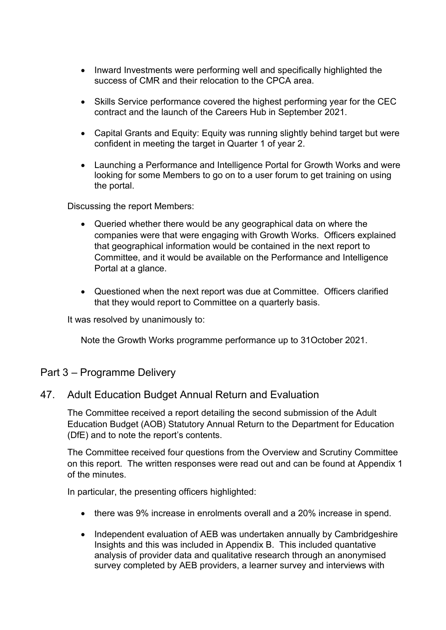- Inward Investments were performing well and specifically highlighted the success of CMR and their relocation to the CPCA area.
- Skills Service performance covered the highest performing year for the CEC contract and the launch of the Careers Hub in September 2021.
- Capital Grants and Equity: Equity was running slightly behind target but were confident in meeting the target in Quarter 1 of year 2.
- Launching a Performance and Intelligence Portal for Growth Works and were looking for some Members to go on to a user forum to get training on using the portal.

Discussing the report Members:

- Queried whether there would be any geographical data on where the companies were that were engaging with Growth Works. Officers explained that geographical information would be contained in the next report to Committee, and it would be available on the Performance and Intelligence Portal at a glance.
- Questioned when the next report was due at Committee. Officers clarified that they would report to Committee on a quarterly basis.

It was resolved by unanimously to:

Note the Growth Works programme performance up to 31October 2021.

#### Part 3 – Programme Delivery

#### 47. Adult Education Budget Annual Return and Evaluation

The Committee received a report detailing the second submission of the Adult Education Budget (AOB) Statutory Annual Return to the Department for Education (DfE) and to note the report's contents.

The Committee received four questions from the Overview and Scrutiny Committee on this report. The written responses were read out and can be found at Appendix 1 of the minutes.

In particular, the presenting officers highlighted:

- there was 9% increase in enrolments overall and a 20% increase in spend.
- Independent evaluation of AEB was undertaken annually by Cambridgeshire Insights and this was included in Appendix B. This included quantative analysis of provider data and qualitative research through an anonymised survey completed by AEB providers, a learner survey and interviews with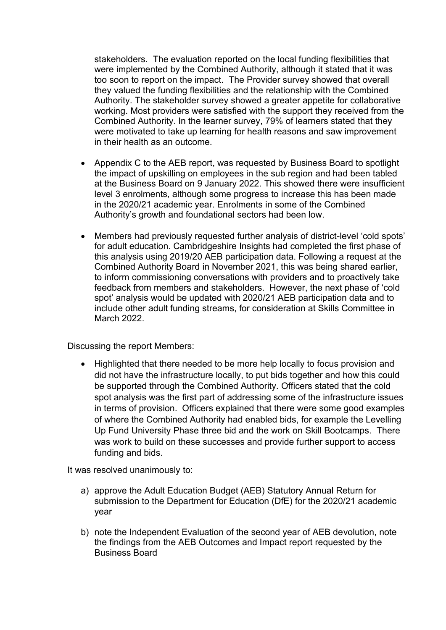stakeholders. The evaluation reported on the local funding flexibilities that were implemented by the Combined Authority, although it stated that it was too soon to report on the impact. The Provider survey showed that overall they valued the funding flexibilities and the relationship with the Combined Authority. The stakeholder survey showed a greater appetite for collaborative working. Most providers were satisfied with the support they received from the Combined Authority. In the learner survey, 79% of learners stated that they were motivated to take up learning for health reasons and saw improvement in their health as an outcome.

- Appendix C to the AEB report, was requested by Business Board to spotlight the impact of upskilling on employees in the sub region and had been tabled at the Business Board on 9 January 2022. This showed there were insufficient level 3 enrolments, although some progress to increase this has been made in the 2020/21 academic year. Enrolments in some of the Combined Authority's growth and foundational sectors had been low.
- Members had previously requested further analysis of district-level 'cold spots' for adult education. Cambridgeshire Insights had completed the first phase of this analysis using 2019/20 AEB participation data. Following a request at the Combined Authority Board in November 2021, this was being shared earlier, to inform commissioning conversations with providers and to proactively take feedback from members and stakeholders. However, the next phase of 'cold spot' analysis would be updated with 2020/21 AEB participation data and to include other adult funding streams, for consideration at Skills Committee in March 2022.

Discussing the report Members:

• Highlighted that there needed to be more help locally to focus provision and did not have the infrastructure locally, to put bids together and how this could be supported through the Combined Authority. Officers stated that the cold spot analysis was the first part of addressing some of the infrastructure issues in terms of provision. Officers explained that there were some good examples of where the Combined Authority had enabled bids, for example the Levelling Up Fund University Phase three bid and the work on Skill Bootcamps. There was work to build on these successes and provide further support to access funding and bids.

It was resolved unanimously to:

- a) approve the Adult Education Budget (AEB) Statutory Annual Return for submission to the Department for Education (DfE) for the 2020/21 academic year
- b) note the Independent Evaluation of the second year of AEB devolution, note the findings from the AEB Outcomes and Impact report requested by the Business Board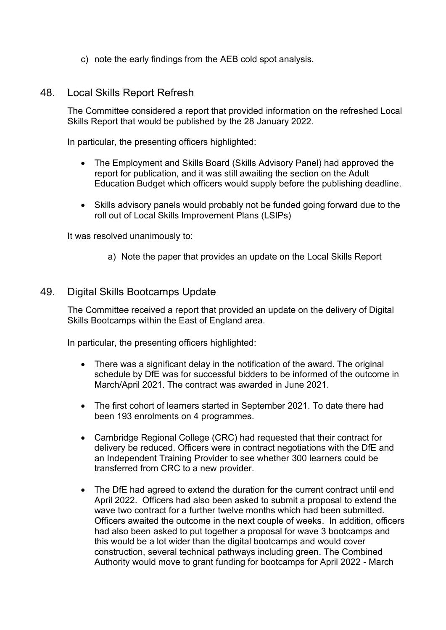c) note the early findings from the AEB cold spot analysis.

#### 48. Local Skills Report Refresh

The Committee considered a report that provided information on the refreshed Local Skills Report that would be published by the 28 January 2022.

In particular, the presenting officers highlighted:

- The Employment and Skills Board (Skills Advisory Panel) had approved the report for publication, and it was still awaiting the section on the Adult Education Budget which officers would supply before the publishing deadline.
- Skills advisory panels would probably not be funded going forward due to the roll out of Local Skills Improvement Plans (LSIPs)

It was resolved unanimously to:

a) Note the paper that provides an update on the Local Skills Report

## 49. Digital Skills Bootcamps Update

The Committee received a report that provided an update on the delivery of Digital Skills Bootcamps within the East of England area.

In particular, the presenting officers highlighted:

- There was a significant delay in the notification of the award. The original schedule by DfE was for successful bidders to be informed of the outcome in March/April 2021. The contract was awarded in June 2021.
- The first cohort of learners started in September 2021. To date there had been 193 enrolments on 4 programmes.
- Cambridge Regional College (CRC) had requested that their contract for delivery be reduced. Officers were in contract negotiations with the DfE and an Independent Training Provider to see whether 300 learners could be transferred from CRC to a new provider.
- The DfE had agreed to extend the duration for the current contract until end April 2022. Officers had also been asked to submit a proposal to extend the wave two contract for a further twelve months which had been submitted. Officers awaited the outcome in the next couple of weeks. In addition, officers had also been asked to put together a proposal for wave 3 bootcamps and this would be a lot wider than the digital bootcamps and would cover construction, several technical pathways including green. The Combined Authority would move to grant funding for bootcamps for April 2022 - March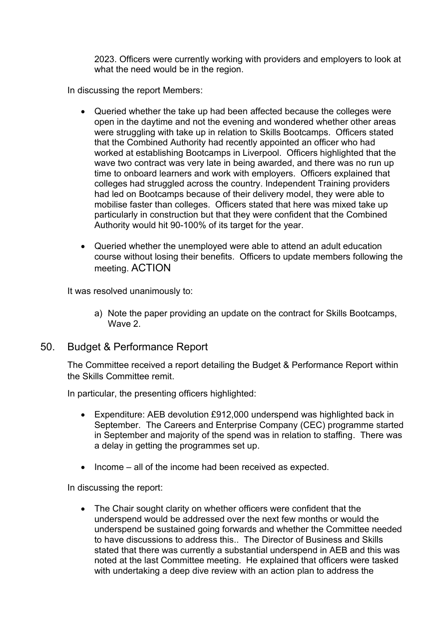2023. Officers were currently working with providers and employers to look at what the need would be in the region.

In discussing the report Members:

- Queried whether the take up had been affected because the colleges were open in the daytime and not the evening and wondered whether other areas were struggling with take up in relation to Skills Bootcamps. Officers stated that the Combined Authority had recently appointed an officer who had worked at establishing Bootcamps in Liverpool. Officers highlighted that the wave two contract was very late in being awarded, and there was no run up time to onboard learners and work with employers. Officers explained that colleges had struggled across the country. Independent Training providers had led on Bootcamps because of their delivery model, they were able to mobilise faster than colleges. Officers stated that here was mixed take up particularly in construction but that they were confident that the Combined Authority would hit 90-100% of its target for the year.
- Queried whether the unemployed were able to attend an adult education course without losing their benefits. Officers to update members following the meeting. ACTION

It was resolved unanimously to:

- a) Note the paper providing an update on the contract for Skills Bootcamps, Wave 2.
- 50. Budget & Performance Report

The Committee received a report detailing the Budget & Performance Report within the Skills Committee remit.

In particular, the presenting officers highlighted:

- Expenditure: AEB devolution £912,000 underspend was highlighted back in September. The Careers and Enterprise Company (CEC) programme started in September and majority of the spend was in relation to staffing. There was a delay in getting the programmes set up.
- Income all of the income had been received as expected.

In discussing the report:

• The Chair sought clarity on whether officers were confident that the underspend would be addressed over the next few months or would the underspend be sustained going forwards and whether the Committee needed to have discussions to address this.. The Director of Business and Skills stated that there was currently a substantial underspend in AEB and this was noted at the last Committee meeting. He explained that officers were tasked with undertaking a deep dive review with an action plan to address the